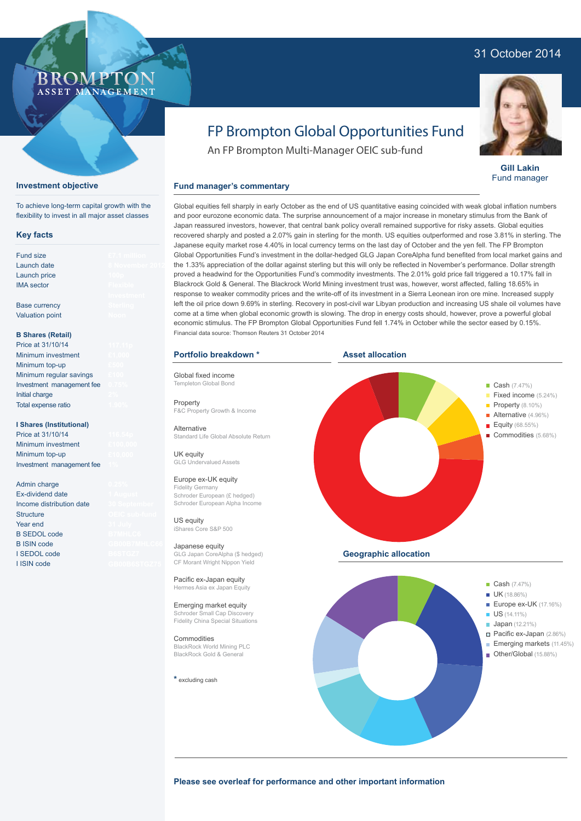## 31 October 2014



**Gill Lakin** Fund manager

# FP Brompton Global Opportunities Fund

An FP Brompton Multi-Manager OEIC sub-fund

## **Fund manager's commentary**

Global equities fell sharply in early October as the end of US quantitative easing coincided with weak global inflation numbers and poor eurozone economic data. The surprise announcement of a major increase in monetary stimulus from the Bank of Japan reassured investors, however, that central bank policy overall remained supportive for risky assets. Global equities recovered sharply and posted a 2.07% gain in sterling for the month. US equities outperformed and rose 3.81% in sterling. The Japanese equity market rose 4.40% in local currency terms on the last day of October and the yen fell. The FP Brompton Global Opportunities Fund's investment in the dollar-hedged GLG Japan CoreAlpha fund benefited from local market gains and the 1.33% appreciation of the dollar against sterling but this will only be reflected in November's performance. Dollar strength proved a headwind for the Opportunities Fund's commodity investments. The 2.01% gold price fall triggered a 10.17% fall in Blackrock Gold & General. The Blackrock World Mining investment trust was, however, worst affected, falling 18.65% in response to weaker commodity prices and the write-off of its investment in a Sierra Leonean iron ore mine. Increased supply left the oil price down 9.69% in sterling. Recovery in post-civil war Libyan production and increasing US shale oil volumes have come at a time when global economic growth is slowing. The drop in energy costs should, however, prove a powerful global economic stimulus. The FP Brompton Global Opportunities Fund fell 1.74% in October while the sector eased by 0.15%. Financial data source: Thomson Reuters 31 October 2014

## **Portfolio breakdown \***

Global fixed income Templeton Global Bond

Property F&C Property Growth & Income

Alternative Standard Life Global Absolute Return

UK equity GLG Undervalued Assets

## Europe ex-UK equity

Fidelity Germany Schroder European (£ hedged) Schroder European Alpha Income

US equity iShares Core S&P 500

Japanese equity GLG Japan CoreAlpha (\$ hedged) CF Morant Wright Nippon Yield

Pacific ex-Japan equity Hermes Asia ex Japan Equity

Emerging market equity Schroder Small Cap Discovery Fidelity China Special Situations

**Commodities** BlackRock World Mining PLC BlackRock Gold & General

**\*** excluding cash



**Please see overleaf for performance and other important information**

#### **Investment objective**

To achieve long-term capital growth with the flexibility to invest in all major asset classes

ROMP ASSET MANAGEMENT

### **Key facts**

| <b>Fund size</b>         | £7.1 m           |
|--------------------------|------------------|
| Launch date              | 8 Nove           |
| Launch price             | 100 <sub>D</sub> |
| <b>IMA</b> sector        | Flexib           |
|                          | Invest           |
| <b>Base currency</b>     | Sterlin          |
| <b>Valuation point</b>   | Noon             |
|                          |                  |
| <b>B Shares (Retail)</b> |                  |

#### **B Shares (Retail)**

| Price at 31/10/14         |  |
|---------------------------|--|
| Minimum investment        |  |
| Minimum top-up            |  |
| Minimum regular savings   |  |
| Investment management fee |  |
| Initial charge            |  |
| Total expense ratio       |  |

#### **I Shares (Institutional)**

Price at 31/10/14 Minimum investment Minimum top-up Investment management fee

Admin charge Ex-dividend date Income distribution date **Structure** Year end B SEDOL code B ISIN code I SEDOL code I ISIN code